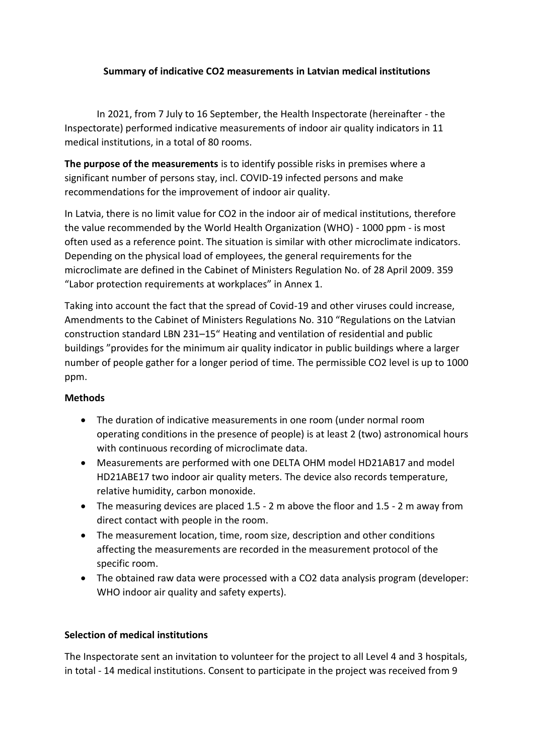# **Summary of indicative CO2 measurements in Latvian medical institutions**

In 2021, from 7 July to 16 September, the Health Inspectorate (hereinafter - the Inspectorate) performed indicative measurements of indoor air quality indicators in 11 medical institutions, in a total of 80 rooms.

**The purpose of the measurements** is to identify possible risks in premises where a significant number of persons stay, incl. COVID-19 infected persons and make recommendations for the improvement of indoor air quality.

In Latvia, there is no limit value for CO2 in the indoor air of medical institutions, therefore the value recommended by the World Health Organization (WHO) - 1000 ppm - is most often used as a reference point. The situation is similar with other microclimate indicators. Depending on the physical load of employees, the general requirements for the microclimate are defined in the Cabinet of Ministers Regulation No. of 28 April 2009. 359 "Labor protection requirements at workplaces" in Annex 1.

Taking into account the fact that the spread of Covid-19 and other viruses could increase, Amendments to the Cabinet of Ministers Regulations No. 310 "Regulations on the Latvian construction standard LBN 231–15" Heating and ventilation of residential and public buildings "provides for the minimum air quality indicator in public buildings where a larger number of people gather for a longer period of time. The permissible CO2 level is up to 1000 ppm.

#### **Methods**

- The duration of indicative measurements in one room (under normal room operating conditions in the presence of people) is at least 2 (two) astronomical hours with continuous recording of microclimate data.
- Measurements are performed with one DELTA OHM model HD21AB17 and model HD21ABE17 two indoor air quality meters. The device also records temperature, relative humidity, carbon monoxide.
- The measuring devices are placed 1.5 2 m above the floor and 1.5 2 m away from direct contact with people in the room.
- The measurement location, time, room size, description and other conditions affecting the measurements are recorded in the measurement protocol of the specific room.
- The obtained raw data were processed with a CO2 data analysis program (developer: WHO indoor air quality and safety experts).

# **Selection of medical institutions**

The Inspectorate sent an invitation to volunteer for the project to all Level 4 and 3 hospitals, in total - 14 medical institutions. Consent to participate in the project was received from 9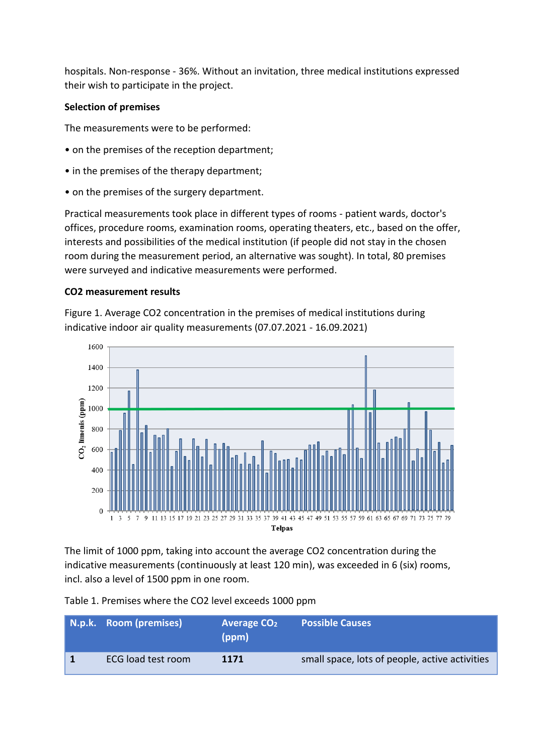hospitals. Non-response - 36%. Without an invitation, three medical institutions expressed their wish to participate in the project.

## **Selection of premises**

The measurements were to be performed:

- on the premises of the reception department;
- in the premises of the therapy department;
- on the premises of the surgery department.

Practical measurements took place in different types of rooms - patient wards, doctor's offices, procedure rooms, examination rooms, operating theaters, etc., based on the offer, interests and possibilities of the medical institution (if people did not stay in the chosen room during the measurement period, an alternative was sought). In total, 80 premises were surveyed and indicative measurements were performed.

### **CO2 measurement results**

Figure 1. Average CO2 concentration in the premises of medical institutions during indicative indoor air quality measurements (07.07.2021 - 16.09.2021)



The limit of 1000 ppm, taking into account the average CO2 concentration during the indicative measurements (continuously at least 120 min), was exceeded in 6 (six) rooms, incl. also a level of 1500 ppm in one room.

Table 1. Premises where the CO2 level exceeds 1000 ppm

| N.p.k. Room (premises) | Average $CO2$<br>(ppm) | <b>Possible Causes</b>                         |
|------------------------|------------------------|------------------------------------------------|
| ECG load test room     | 1171                   | small space, lots of people, active activities |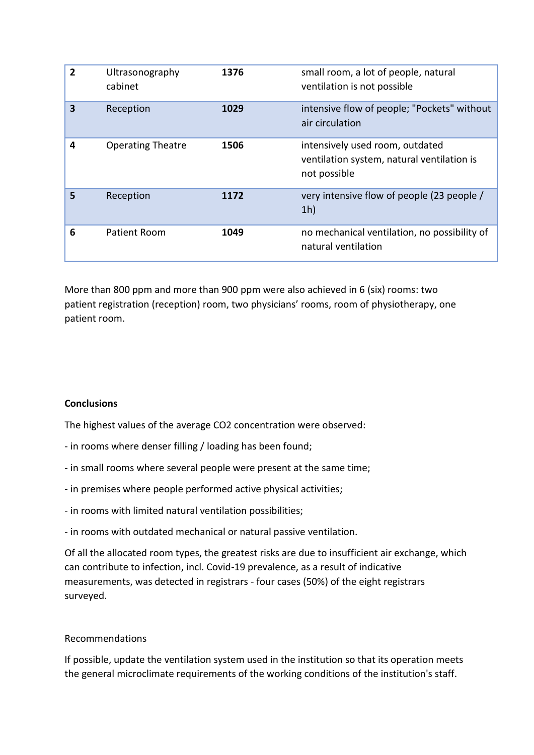| $\overline{2}$ | Ultrasonography<br>cabinet | 1376 | small room, a lot of people, natural<br>ventilation is not possible                           |
|----------------|----------------------------|------|-----------------------------------------------------------------------------------------------|
| 3              | Reception                  | 1029 | intensive flow of people; "Pockets" without<br>air circulation                                |
| 4              | <b>Operating Theatre</b>   | 1506 | intensively used room, outdated<br>ventilation system, natural ventilation is<br>not possible |
| 5              | Reception                  | 1172 | very intensive flow of people (23 people)<br>1 <sub>h</sub>                                   |
| 6              | Patient Room               | 1049 | no mechanical ventilation, no possibility of<br>natural ventilation                           |

More than 800 ppm and more than 900 ppm were also achieved in 6 (six) rooms: two patient registration (reception) room, two physicians' rooms, room of physiotherapy, one patient room.

# **Conclusions**

The highest values of the average CO2 concentration were observed:

- in rooms where denser filling / loading has been found;
- in small rooms where several people were present at the same time;
- in premises where people performed active physical activities;
- in rooms with limited natural ventilation possibilities;

- in rooms with outdated mechanical or natural passive ventilation.

Of all the allocated room types, the greatest risks are due to insufficient air exchange, which can contribute to infection, incl. Covid-19 prevalence, as a result of indicative measurements, was detected in registrars - four cases (50%) of the eight registrars surveyed.

# Recommendations

If possible, update the ventilation system used in the institution so that its operation meets the general microclimate requirements of the working conditions of the institution's staff.